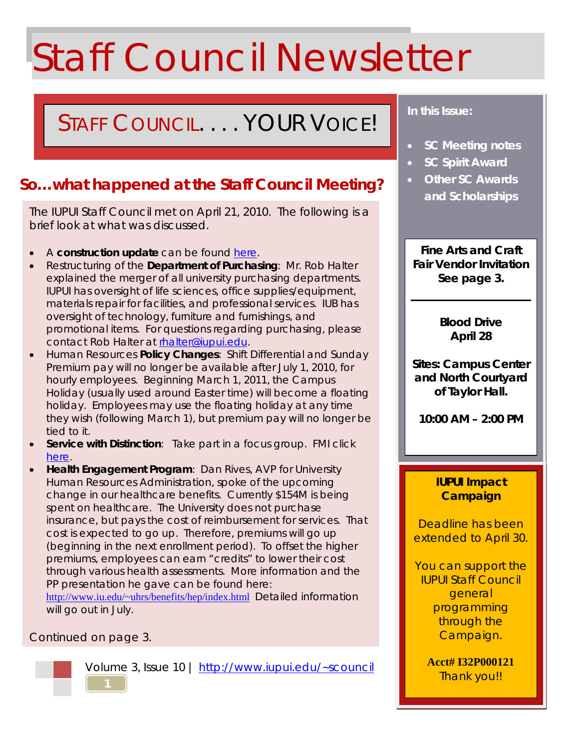# Staff Council Newsletter

# STAFF COUNCIL. . . . YOUR VOICE!

# **So…what happened at the Staff Council Meeting?**

The IUPUI Staff Council met on April 21, 2010. The following is a brief look at what was discussed.

- A **construction update** can be found [here.](http://www.iupui.edu/~scouncil/documents/newsletters/volume3/construction_update0001.pdf)
- Restructuring of the **Department of Purchasing**: Mr. Rob Halter explained the merger of all university purchasing departments. IUPUI has oversight of life sciences, office supplies/equipment, materials repair for facilities, and professional services. IUB has oversight of technology, furniture and furnishings, and promotional items. For questions regarding purchasing, please contact Rob Halter at [rhalter@iupui.edu.](mailto:rhalter@iupui.edu)
- Human Resources **Policy Changes**: Shift Differential and Sunday Premium pay will no longer be available after July 1, 2010, for hourly employees. Beginning March 1, 2011, the Campus Holiday (usually used around Easter time) will become a floating holiday. Employees may use the floating holiday at any time they wish (following March 1), but premium pay will no longer be tied to it.
- **Service with Distinction**: Take part in a focus group. FMI click [here.](http://www.iupui.edu/~scouncil/documents/newsletters/volume3/service_w_distinction.pdf)
- **Health Engagement Program**: Dan Rives, AVP for University Human Resources Administration, spoke of the upcoming change in our healthcare benefits. Currently \$154M is being spent on healthcare. The University does not purchase insurance, but pays the cost of reimbursement for services. That cost is expected to go up. Therefore, premiums will go up (beginning in the next enrollment period). To offset the higher premiums, employees can earn "credits" to lower their cost through various health assessments. More information and the PP presentation he gave can be found here:

<http://www.iu.edu/~uhrs/benefits/hep/index.html>Detailed information will go out in July.

## Continued on page 3.



Volume 3, Issue 10 |<http://www.iupui.edu/~scouncil>

# *In this Issue:*

- *SC Meeting notes*
- *SC Spirit Award*
- *Other SC Awards and Scholarships*

**Fine Arts and Craft Fair Vendor Invitation See page 3.**

> **Blood Drive April 28**

**Sites: Campus Center and North Courtyard of Taylor Hall.**

**10:00 AM – 2:00 PM**

### **IUPUI Impact Campaign**

Deadline has been extended to April 30.

You can support the IUPUI Staff Council general programming through the Campaign.

> **Acct# I32P000121** Thank you!!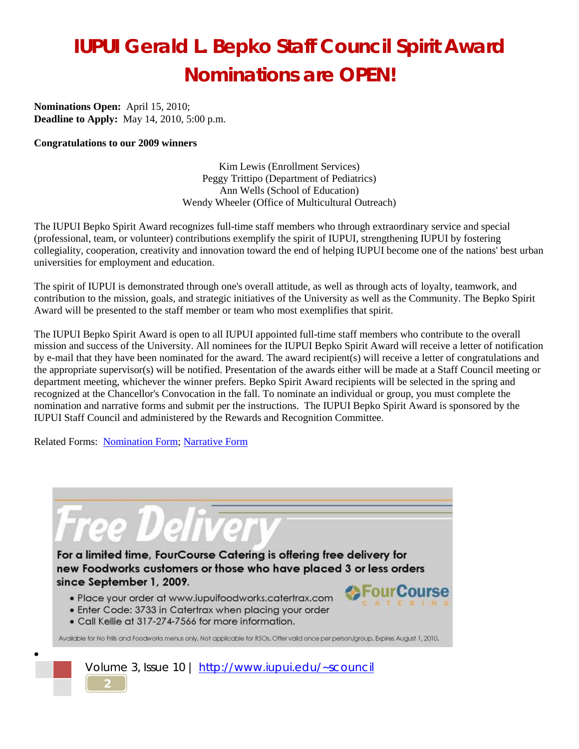# **IUPUI Gerald L. Bepko Staff Council Spirit Award Nominations are OPEN!**

**Nominations Open:** April 15, 2010; **Deadline to Apply:** May 14, 2010, 5:00 p.m.

#### **Congratulations to our 2009 winners**

Kim Lewis (Enrollment Services) Peggy Trittipo (Department of Pediatrics) Ann Wells (School of Education) Wendy Wheeler (Office of Multicultural Outreach)

The IUPUI Bepko Spirit Award recognizes full-time staff members who through extraordinary service and special (professional, team, or volunteer) contributions exemplify the spirit of IUPUI, strengthening IUPUI by fostering collegiality, cooperation, creativity and innovation toward the end of helping IUPUI become one of the nations' best urban universities for employment and education.

The spirit of IUPUI is demonstrated through one's overall attitude, as well as through acts of loyalty, teamwork, and contribution to the mission, goals, and strategic initiatives of the University as well as the Community. The Bepko Spirit Award will be presented to the staff member or team who most exemplifies that spirit.

The IUPUI Bepko Spirit Award is open to all IUPUI appointed full-time staff members who contribute to the overall mission and success of the University. All nominees for the IUPUI Bepko Spirit Award will receive a letter of notification by e-mail that they have been nominated for the award. The award recipient(s) will receive a letter of congratulations and the appropriate supervisor(s) will be notified. Presentation of the awards either will be made at a Staff Council meeting or department meeting, whichever the winner prefers. Bepko Spirit Award recipients will be selected in the spring and recognized at the Chancellor's Convocation in the fall. To nominate an individual or group, you must complete the nomination and narrative forms and submit per the instructions. The IUPUI Bepko Spirit Award is sponsored by the IUPUI Staff Council and administered by the Rewards and Recognition Committee.

Related Forms: Nomination Form; Narrative Form

**2**

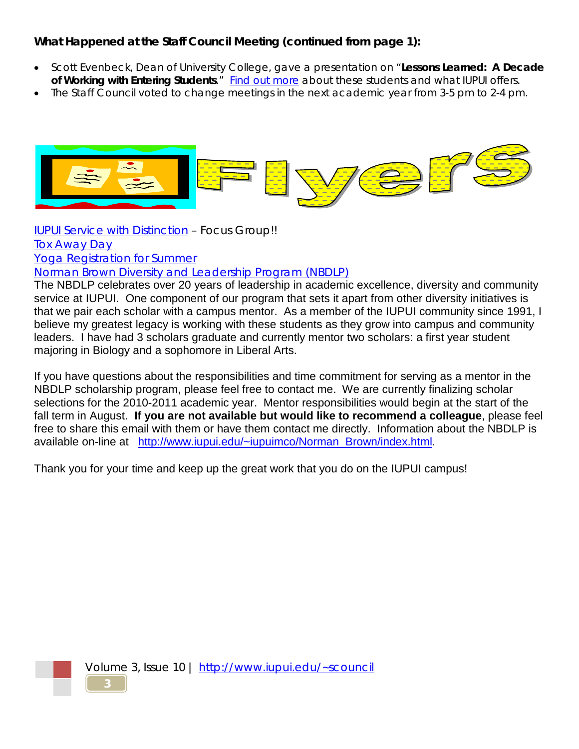# **What Happened at the Staff Council Meeting (continued from page 1):**

- Scott Evenbeck, Dean of University College, gave a presentation on "**Lessons Learned: A Decade**  of Working with Entering Students." Find out more about these students and what IUPUI offers.
- The Staff Council voted to change meetings in the next academic year from 3-5 pm to 2-4 pm.



[IUPUI Service with Distinction](http://www.iupui.edu/~scouncil/documents/newsletters/volume3/servicedistinction.pdf) – Focus Group!! [Tox Away Day](http://www.iupui.edu/~scouncil/documents/newsletters/volume3/Earth%20Day%204-24-10.pdf) [Yoga Registration for Summer](http://www.iupui.edu/~scouncil/documents/newsletters/volume3/yoga%20Summer%202010%20withOUT%20tabs.pdf)

[Norman Brown Diversity and Leadership Program \(NBDLP\)](http://www.iupui.edu/~scouncil/documents/newsletters/volume3/nbdlp.pdf)

The NBDLP celebrates over 20 years of leadership in academic excellence, diversity and community service at IUPUI. One component of our program that sets it apart from other diversity initiatives is that we pair each scholar with a campus mentor. As a member of the IUPUI community since 1991, I believe my greatest legacy is working with these students as they grow into campus and community leaders. I have had 3 scholars graduate and currently mentor two scholars: a first year student majoring in Biology and a sophomore in Liberal Arts.

If you have questions about the responsibilities and time commitment for serving as a mentor in the NBDLP scholarship program, please feel free to contact me. We are currently finalizing scholar selections for the 2010-2011 academic year. Mentor responsibilities would begin at the start of the fall term in August. **If you are not available but would like to recommend a colleague**, please feel free to share this email with them or have them contact me directly. Information about the NBDLP is available on-line at [http://www.iupui.edu/~iupuimco/Norman\\_Brown/index.html.](http://www.iupui.edu/~iupuimco/Norman_Brown/index.html)

Thank you for your time and keep up the great work that you do on the IUPUI campus!



Volume 3, Issue 10 |<http://www.iupui.edu/~scouncil>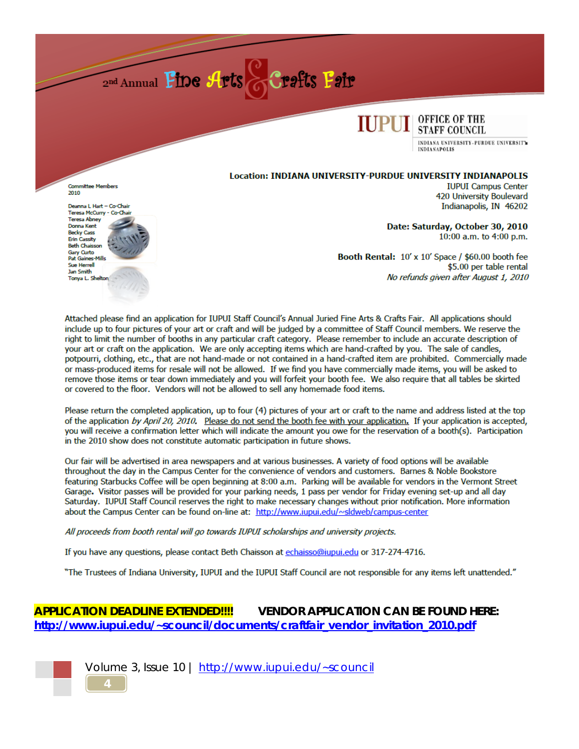



INDIANA UNIVERSITY-PURDUE UNIVERSITY **INDIANAPOLIS** 

#### Location: INDIANA UNIVERSITY-PURDUE UNIVERSITY INDIANAPOLIS

**Committee Members** 2010

Deanna L Hart - Co-Chair Teresa McCurry - Co-Cha Teresa Abney Donna Kent **Becky Cass** Erin Cassity **Beth Chaisson Gary Curto** Pat Gaines-Mills **Sue Herrell** Jan Smith Tonva L. Shelton

**IUPUI Campus Center** 420 University Boulevard Indianapolis, IN 46202

Date: Saturday, October 30, 2010 10:00 a.m. to 4:00 p.m.

Booth Rental: 10' x 10' Space / \$60.00 booth fee \$5.00 per table rental No refunds given after August 1, 2010

Attached please find an application for IUPUI Staff Council's Annual Juried Fine Arts & Crafts Fair. All applications should include up to four pictures of your art or craft and will be judged by a committee of Staff Council members. We reserve the right to limit the number of booths in any particular craft category. Please remember to include an accurate description of your art or craft on the application. We are only accepting items which are hand-crafted by you. The sale of candles, potpourri, clothing, etc., that are not hand-made or not contained in a hand-crafted item are prohibited. Commercially made or mass-produced items for resale will not be allowed. If we find you have commercially made items, you will be asked to remove those items or tear down immediately and you will forfeit your booth fee. We also require that all tables be skirted or covered to the floor. Vendors will not be allowed to sell any homemade food items.

Please return the completed application, up to four (4) pictures of your art or craft to the name and address listed at the top of the application by April 20, 2010. Please do not send the booth fee with your application. If your application is accepted, you will receive a confirmation letter which will indicate the amount you owe for the reservation of a booth(s). Participation in the 2010 show does not constitute automatic participation in future shows.

Our fair will be advertised in area newspapers and at various businesses. A variety of food options will be available throughout the day in the Campus Center for the convenience of vendors and customers. Barnes & Noble Bookstore featuring Starbucks Coffee will be open beginning at 8:00 a.m. Parking will be available for vendors in the Vermont Street Garage. Visitor passes will be provided for your parking needs, 1 pass per vendor for Friday evening set-up and all day Saturday. IUPUI Staff Council reserves the right to make necessary changes without prior notification. More information about the Campus Center can be found on-line at: http://www.iupui.edu/~sldweb/campus-center

All proceeds from booth rental will go towards IUPUI scholarships and university projects.

If you have any questions, please contact Beth Chaisson at echaisso@iupui.edu or 317-274-4716.

"The Trustees of Indiana University, IUPUI and the IUPUI Staff Council are not responsible for any items left unattended."

#### **APPLICATION DEADLINE EXTENDED!!!! VENDOR APPLICATION CAN BE FOUND HERE:** http://www.jupuj.edu/~scouncil/documents/craftfair vendor invitation 2010.pdf



Volume 3, Issue 10 | http://www.iupui.edu/~scouncil